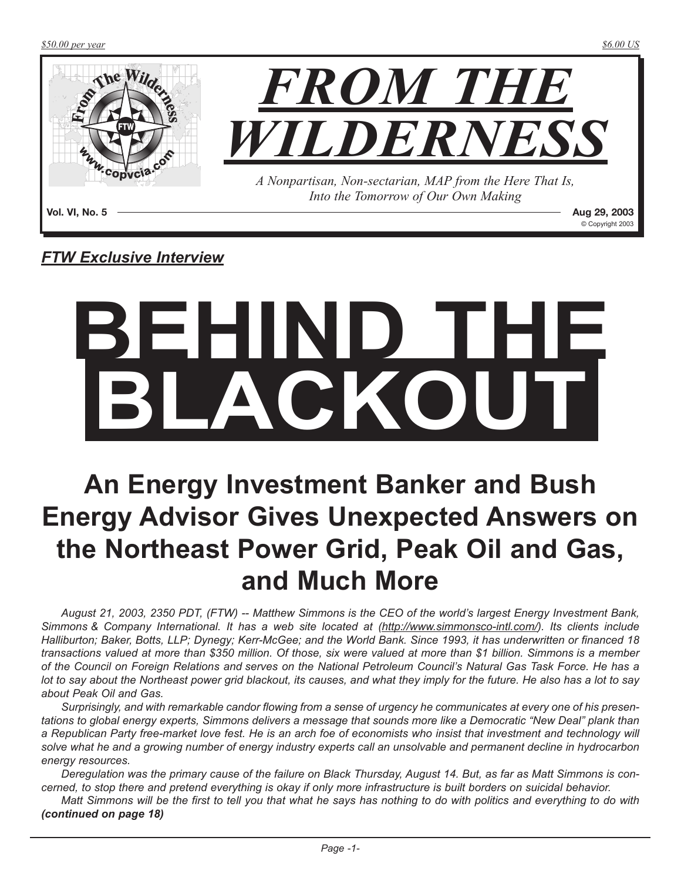*\$50.00 per year \$6.00 US*



### *FTW Exclusive Interview*



## **An Energy Investment Banker and Bush Energy Advisor Gives Unexpected Answers on the Northeast Power Grid, Peak Oil and Gas, and Much More**

*August 21, 2003, 2350 PDT, (FTW) -- Matthew Simmons is the CEO of the world's largest Energy Investment Bank, Simmons & Company International. It has a web site located at (http://www.simmonsco-intl.com/). Its clients include Halliburton; Baker, Botts, LLP; Dynegy; Kerr-McGee; and the World Bank. Since 1993, it has underwritten or financed 18 transactions valued at more than \$350 million. Of those, six were valued at more than \$1 billion. Simmons is a member of the Council on Foreign Relations and serves on the National Petroleum Council's Natural Gas Task Force. He has a lot to say about the Northeast power grid blackout, its causes, and what they imply for the future. He also has a lot to say about Peak Oil and Gas.* 

*Surprisingly, and with remarkable candor flowing from a sense of urgency he communicates at every one of his presentations to global energy experts, Simmons delivers a message that sounds more like a Democratic "New Deal" plank than*  a Republican Party free-market love fest. He is an arch foe of economists who insist that investment and technology will *solve what he and a growing number of energy industry experts call an unsolvable and permanent decline in hydrocarbon energy resources.* 

*Deregulation was the primary cause of the failure on Black Thursday, August 14. But, as far as Matt Simmons is concerned, to stop there and pretend everything is okay if only more infrastructure is built borders on suicidal behavior.*

*Matt Simmons will be the first to tell you that what he says has nothing to do with politics and everything to do with (continued on page 18)*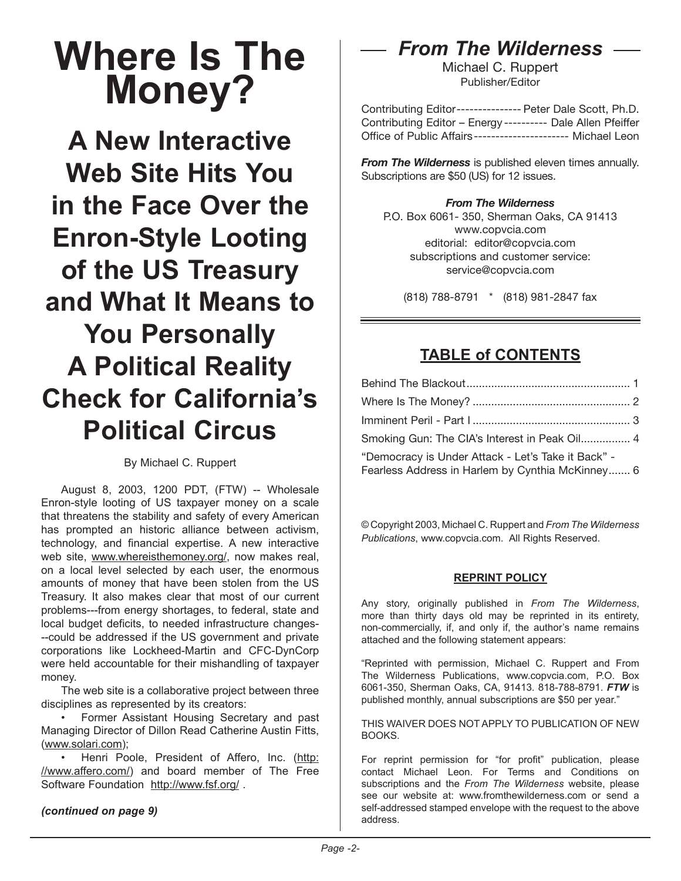# **Where Is The Money?**

**A New Interactive Web Site Hits You in the Face Over the Enron-Style Looting of the US Treasury and What It Means to You Personally A Political Reality Check for California's Political Circus**

By Michael C. Ruppert

August 8, 2003, 1200 PDT, (FTW) -- Wholesale Enron-style looting of US taxpayer money on a scale that threatens the stability and safety of every American has prompted an historic alliance between activism, technology, and financial expertise. A new interactive web site, www.whereisthemoney.org/, now makes real, on a local level selected by each user, the enormous amounts of money that have been stolen from the US Treasury. It also makes clear that most of our current problems---from energy shortages, to federal, state and local budget deficits, to needed infrastructure changes- --could be addressed if the US government and private corporations like Lockheed-Martin and CFC-DynCorp were held accountable for their mishandling of taxpayer money.

The web site is a collaborative project between three disciplines as represented by its creators:

• Former Assistant Housing Secretary and past Managing Director of Dillon Read Catherine Austin Fitts, (www.solari.com);

Henri Poole, President of Affero, Inc. (http: //www.affero.com/) and board member of The Free Software Foundation http://www.fsf.org/ .

#### *(continued on page 9)*

### *From The Wilderness*

Michael C. Ruppert Publisher/Editor

Contributing Editor--------------- Peter Dale Scott, Ph.D. Contributing Editor – Energy ---------- Dale Allen Pfeiffer Office of Public Affairs---------------------- Michael Leon

*From The Wilderness* is published eleven times annually. Subscriptions are \$50 (US) for 12 issues.

#### *From The Wilderness*

P.O. Box 6061- 350, Sherman Oaks, CA 91413 www.copvcia.com editorial: editor@copvcia.com subscriptions and customer service: service@copvcia.com

(818) 788-8791 \* (818) 981-2847 fax

### **TABLE of CONTENTS**

| Smoking Gun: The CIA's Interest in Peak Oil 4                                                          |  |
|--------------------------------------------------------------------------------------------------------|--|
| "Democracy is Under Attack - Let's Take it Back" -<br>Fearless Address in Harlem by Cynthia McKinney 6 |  |

© Copyright 2003, Michael C. Ruppert and *From The Wilderness Publications*, www.copvcia.com. All Rights Reserved.

#### **REPRINT POLICY**

Any story, originally published in *From The Wilderness*, more than thirty days old may be reprinted in its entirety, non-commercially, if, and only if, the author's name remains attached and the following statement appears:

"Reprinted with permission, Michael C. Ruppert and From The Wilderness Publications, www.copvcia.com, P.O. Box 6061-350, Sherman Oaks, CA, 91413. 818-788-8791. *FTW* is published monthly, annual subscriptions are \$50 per year."

THIS WAIVER DOES NOT APPLY TO PUBLICATION OF NEW BOOKS.

For reprint permission for "for profit" publication, please contact Michael Leon. For Terms and Conditions on subscriptions and the *From The Wilderness* website, please see our website at: www.fromthewilderness.com or send a self-addressed stamped envelope with the request to the above address.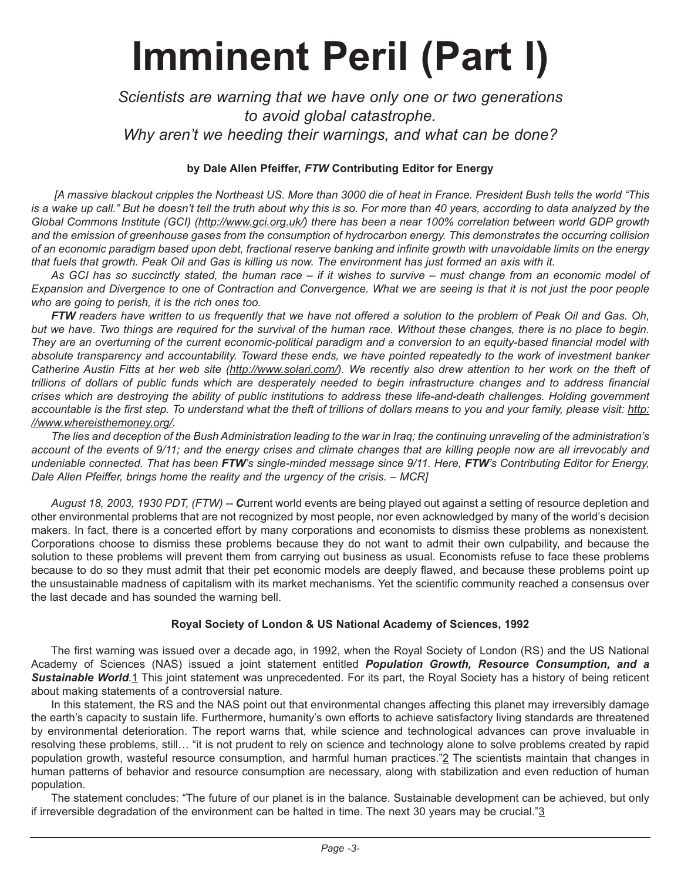# **Imminent Peril (Part I)**

*Scientists are warning that we have only one or two generations to avoid global catastrophe. Why aren't we heeding their warnings, and what can be done?*

#### **by Dale Allen Pfeiffer,** *FTW* **Contributing Editor for Energy**

 *[A massive blackout cripples the Northeast US. More than 3000 die of heat in France. President Bush tells the world "This*  is a wake up call." But he doesn't tell the truth about why this is so. For more than 40 years, according to data analyzed by the *Global Commons Institute (GCI) (http://www.gci.org.uk/) there has been a near 100% correlation between world GDP growth and the emission of greenhouse gases from the consumption of hydrocarbon energy. This demonstrates the occurring collision of an economic paradigm based upon debt, fractional reserve banking and infinite growth with unavoidable limits on the energy that fuels that growth. Peak Oil and Gas is killing us now. The environment has just formed an axis with it.*

*As GCI has so succinctly stated, the human race – if it wishes to survive – must change from an economic model of Expansion and Divergence to one of Contraction and Convergence. What we are seeing is that it is not just the poor people who are going to perish, it is the rich ones too.*

*FTW readers have written to us frequently that we have not offered a solution to the problem of Peak Oil and Gas. Oh, but we have. Two things are required for the survival of the human race. Without these changes, there is no place to begin. They are an overturning of the current economic-political paradigm and a conversion to an equity-based financial model with absolute transparency and accountability. Toward these ends, we have pointed repeatedly to the work of investment banker Catherine Austin Fitts at her web site (http://www.solari.com/). We recently also drew attention to her work on the theft of trillions of dollars of public funds which are desperately needed to begin infrastructure changes and to address financial crises which are destroying the ability of public institutions to address these life-and-death challenges. Holding government accountable is the first step. To understand what the theft of trillions of dollars means to you and your family, please visit: http: //www.whereisthemoney.org/.* 

*The lies and deception of the Bush Administration leading to the war in Iraq; the continuing unraveling of the administration's account of the events of 9/11; and the energy crises and climate changes that are killing people now are all irrevocably and undeniable connected. That has been FTW's single-minded message since 9/11. Here, FTW's Contributing Editor for Energy, Dale Allen Pfeiffer, brings home the reality and the urgency of the crisis. – MCR]* 

*August 18, 2003, 1930 PDT, (FTW) -- C*urrent world events are being played out against a setting of resource depletion and other environmental problems that are not recognized by most people, nor even acknowledged by many of the world's decision makers. In fact, there is a concerted effort by many corporations and economists to dismiss these problems as nonexistent. Corporations choose to dismiss these problems because they do not want to admit their own culpability, and because the solution to these problems will prevent them from carrying out business as usual. Economists refuse to face these problems because to do so they must admit that their pet economic models are deeply flawed, and because these problems point up the unsustainable madness of capitalism with its market mechanisms. Yet the scientific community reached a consensus over the last decade and has sounded the warning bell.

#### **Royal Society of London & US National Academy of Sciences, 1992**

The first warning was issued over a decade ago, in 1992, when the Royal Society of London (RS) and the US National Academy of Sciences (NAS) issued a joint statement entitled *Population Growth, Resource Consumption, and a Sustainable World.*1 This joint statement was unprecedented. For its part, the Royal Society has a history of being reticent about making statements of a controversial nature.

In this statement, the RS and the NAS point out that environmental changes affecting this planet may irreversibly damage the earth's capacity to sustain life. Furthermore, humanity's own efforts to achieve satisfactory living standards are threatened by environmental deterioration. The report warns that, while science and technological advances can prove invaluable in resolving these problems, still… "it is not prudent to rely on science and technology alone to solve problems created by rapid population growth, wasteful resource consumption, and harmful human practices."<sup>2</sup> The scientists maintain that changes in human patterns of behavior and resource consumption are necessary, along with stabilization and even reduction of human population.

The statement concludes: "The future of our planet is in the balance. Sustainable development can be achieved, but only if irreversible degradation of the environment can be halted in time. The next 30 years may be crucial." $\underline{3}$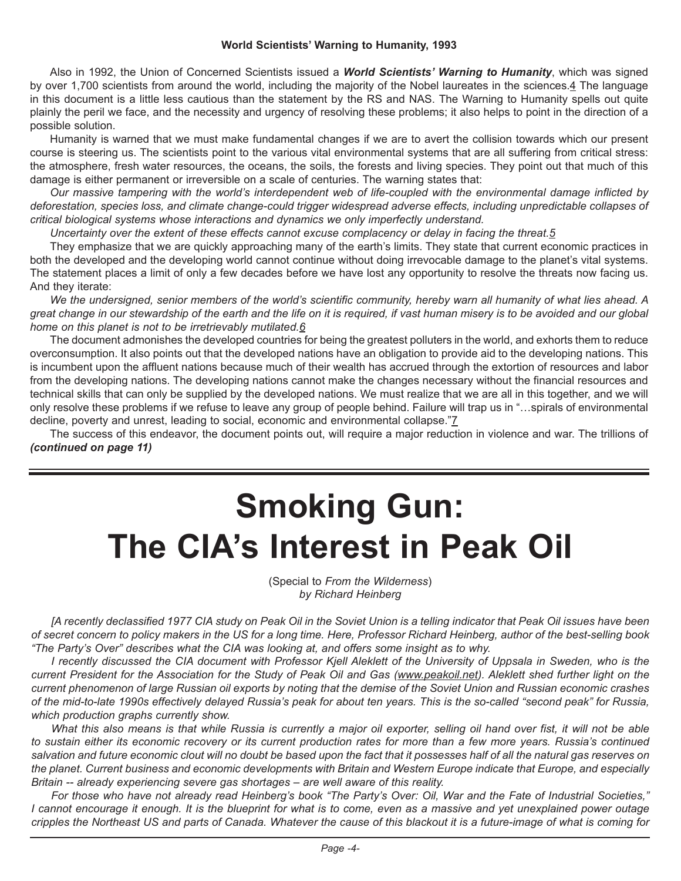Also in 1992, the Union of Concerned Scientists issued a *World Scientists' Warning to Humanity*, which was signed by over 1,700 scientists from around the world, including the majority of the Nobel laureates in the sciences.4 The language in this document is a little less cautious than the statement by the RS and NAS. The Warning to Humanity spells out quite plainly the peril we face, and the necessity and urgency of resolving these problems; it also helps to point in the direction of a possible solution.

Humanity is warned that we must make fundamental changes if we are to avert the collision towards which our present course is steering us. The scientists point to the various vital environmental systems that are all suffering from critical stress: the atmosphere, fresh water resources, the oceans, the soils, the forests and living species. They point out that much of this damage is either permanent or irreversible on a scale of centuries. The warning states that:

*Our massive tampering with the world's interdependent web of life-coupled with the environmental damage inflicted by deforestation, species loss, and climate change-could trigger widespread adverse effects, including unpredictable collapses of critical biological systems whose interactions and dynamics we only imperfectly understand.* 

*Uncertainty over the extent of these effects cannot excuse complacency or delay in facing the threat.5*

They emphasize that we are quickly approaching many of the earth's limits. They state that current economic practices in both the developed and the developing world cannot continue without doing irrevocable damage to the planet's vital systems. The statement places a limit of only a few decades before we have lost any opportunity to resolve the threats now facing us. And they iterate:

*We the undersigned, senior members of the world's scientific community, hereby warn all humanity of what lies ahead. A great change in our stewardship of the earth and the life on it is required, if vast human misery is to be avoided and our global home on this planet is not to be irretrievably mutilated.6*

The document admonishes the developed countries for being the greatest polluters in the world, and exhorts them to reduce overconsumption. It also points out that the developed nations have an obligation to provide aid to the developing nations. This is incumbent upon the affluent nations because much of their wealth has accrued through the extortion of resources and labor from the developing nations. The developing nations cannot make the changes necessary without the financial resources and technical skills that can only be supplied by the developed nations. We must realize that we are all in this together, and we will only resolve these problems if we refuse to leave any group of people behind. Failure will trap us in "…spirals of environmental decline, poverty and unrest, leading to social, economic and environmental collapse."*I* 

The success of this endeavor, the document points out, will require a major reduction in violence and war. The trillions of *(continued on page 11)*

## **Smoking Gun: The CIA's Interest in Peak Oil**

(Special to *From the Wilderness*) *by Richard Heinberg*

*[A recently declassified 1977 CIA study on Peak Oil in the Soviet Union is a telling indicator that Peak Oil issues have been of secret concern to policy makers in the US for a long time. Here, Professor Richard Heinberg, author of the best-selling book "The Party's Over" describes what the CIA was looking at, and offers some insight as to why.*

*I recently discussed the CIA document with Professor Kjell Aleklett of the University of Uppsala in Sweden, who is the current President for the Association for the Study of Peak Oil and Gas (www.peakoil.net). Aleklett shed further light on the current phenomenon of large Russian oil exports by noting that the demise of the Soviet Union and Russian economic crashes of the mid-to-late 1990s effectively delayed Russia's peak for about ten years. This is the so-called "second peak" for Russia, which production graphs currently show.*

What this also means is that while Russia is currently a major oil exporter, selling oil hand over fist, it will not be able *to sustain either its economic recovery or its current production rates for more than a few more years. Russia's continued salvation and future economic clout will no doubt be based upon the fact that it possesses half of all the natural gas reserves on the planet. Current business and economic developments with Britain and Western Europe indicate that Europe, and especially Britain -- already experiencing severe gas shortages – are well aware of this reality.*

*For those who have not already read Heinberg's book "The Party's Over: Oil, War and the Fate of Industrial Societies," I cannot encourage it enough. It is the blueprint for what is to come, even as a massive and yet unexplained power outage cripples the Northeast US and parts of Canada. Whatever the cause of this blackout it is a future-image of what is coming for*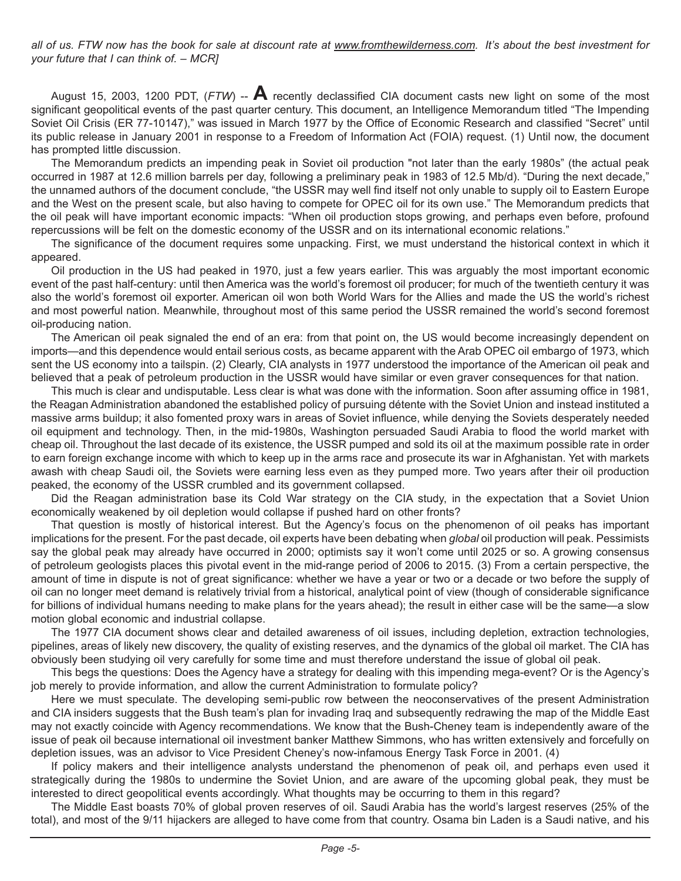*all of us. FTW now has the book for sale at discount rate at www.fromthewilderness.com. It's about the best investment for your future that I can think of. – MCR]*

August 15, 2003, 1200 PDT,  $(FTW) - A$  recently declassified CIA document casts new light on some of the most significant geopolitical events of the past quarter century. This document, an Intelligence Memorandum titled "The Impending Soviet Oil Crisis (ER 77-10147)," was issued in March 1977 by the Office of Economic Research and classified "Secret" until its public release in January 2001 in response to a Freedom of Information Act (FOIA) request. (1) Until now, the document has prompted little discussion.

The Memorandum predicts an impending peak in Soviet oil production "not later than the early 1980s" (the actual peak occurred in 1987 at 12.6 million barrels per day, following a preliminary peak in 1983 of 12.5 Mb/d). "During the next decade," the unnamed authors of the document conclude, "the USSR may well find itself not only unable to supply oil to Eastern Europe and the West on the present scale, but also having to compete for OPEC oil for its own use." The Memorandum predicts that the oil peak will have important economic impacts: "When oil production stops growing, and perhaps even before, profound repercussions will be felt on the domestic economy of the USSR and on its international economic relations."

The significance of the document requires some unpacking. First, we must understand the historical context in which it appeared.

Oil production in the US had peaked in 1970, just a few years earlier. This was arguably the most important economic event of the past half-century: until then America was the world's foremost oil producer; for much of the twentieth century it was also the world's foremost oil exporter. American oil won both World Wars for the Allies and made the US the world's richest and most powerful nation. Meanwhile, throughout most of this same period the USSR remained the world's second foremost oil-producing nation.

The American oil peak signaled the end of an era: from that point on, the US would become increasingly dependent on imports—and this dependence would entail serious costs, as became apparent with the Arab OPEC oil embargo of 1973, which sent the US economy into a tailspin. (2) Clearly, CIA analysts in 1977 understood the importance of the American oil peak and believed that a peak of petroleum production in the USSR would have similar or even graver consequences for that nation.

This much is clear and undisputable. Less clear is what was done with the information. Soon after assuming office in 1981, the Reagan Administration abandoned the established policy of pursuing détente with the Soviet Union and instead instituted a massive arms buildup; it also fomented proxy wars in areas of Soviet influence, while denying the Soviets desperately needed oil equipment and technology. Then, in the mid-1980s, Washington persuaded Saudi Arabia to flood the world market with cheap oil. Throughout the last decade of its existence, the USSR pumped and sold its oil at the maximum possible rate in order to earn foreign exchange income with which to keep up in the arms race and prosecute its war in Afghanistan. Yet with markets awash with cheap Saudi oil, the Soviets were earning less even as they pumped more. Two years after their oil production peaked, the economy of the USSR crumbled and its government collapsed.

Did the Reagan administration base its Cold War strategy on the CIA study, in the expectation that a Soviet Union economically weakened by oil depletion would collapse if pushed hard on other fronts?

That question is mostly of historical interest. But the Agency's focus on the phenomenon of oil peaks has important implications for the present. For the past decade, oil experts have been debating when *global* oil production will peak. Pessimists say the global peak may already have occurred in 2000; optimists say it won't come until 2025 or so. A growing consensus of petroleum geologists places this pivotal event in the mid-range period of 2006 to 2015. (3) From a certain perspective, the amount of time in dispute is not of great significance: whether we have a year or two or a decade or two before the supply of oil can no longer meet demand is relatively trivial from a historical, analytical point of view (though of considerable significance for billions of individual humans needing to make plans for the years ahead); the result in either case will be the same—a slow motion global economic and industrial collapse.

The 1977 CIA document shows clear and detailed awareness of oil issues, including depletion, extraction technologies, pipelines, areas of likely new discovery, the quality of existing reserves, and the dynamics of the global oil market. The CIA has obviously been studying oil very carefully for some time and must therefore understand the issue of global oil peak.

This begs the questions: Does the Agency have a strategy for dealing with this impending mega-event? Or is the Agency's job merely to provide information, and allow the current Administration to formulate policy?

Here we must speculate. The developing semi-public row between the neoconservatives of the present Administration and CIA insiders suggests that the Bush team's plan for invading Iraq and subsequently redrawing the map of the Middle East may not exactly coincide with Agency recommendations. We know that the Bush-Cheney team is independently aware of the issue of peak oil because international oil investment banker Matthew Simmons, who has written extensively and forcefully on depletion issues, was an advisor to Vice President Cheney's now-infamous Energy Task Force in 2001. (4)

If policy makers and their intelligence analysts understand the phenomenon of peak oil, and perhaps even used it strategically during the 1980s to undermine the Soviet Union, and are aware of the upcoming global peak, they must be interested to direct geopolitical events accordingly. What thoughts may be occurring to them in this regard?

The Middle East boasts 70% of global proven reserves of oil. Saudi Arabia has the world's largest reserves (25% of the total), and most of the 9/11 hijackers are alleged to have come from that country. Osama bin Laden is a Saudi native, and his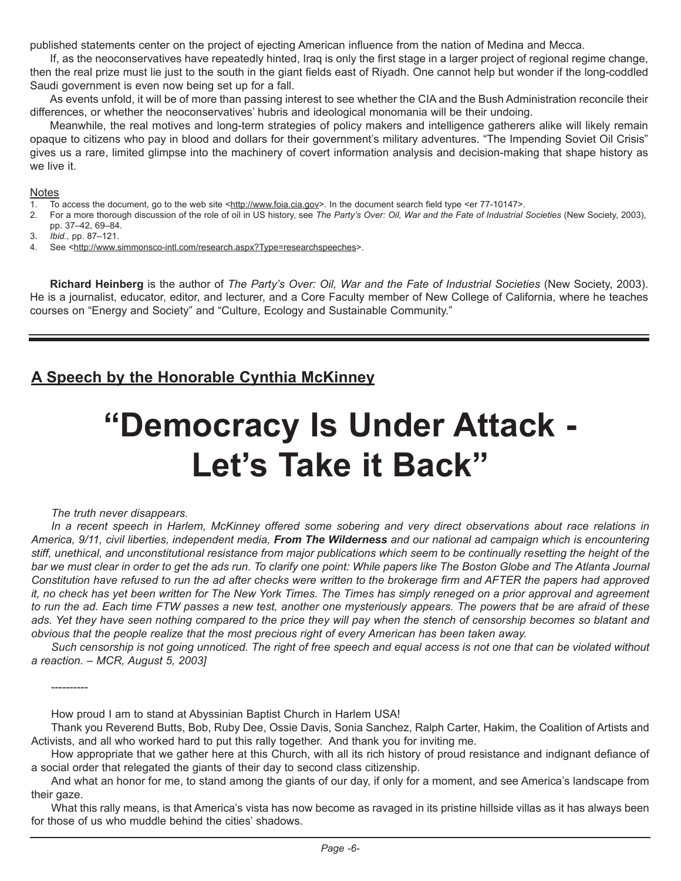published statements center on the project of ejecting American influence from the nation of Medina and Mecca.

If, as the neoconservatives have repeatedly hinted, Iraq is only the first stage in a larger project of regional regime change, then the real prize must lie just to the south in the giant fields east of Riyadh. One cannot help but wonder if the long-coddled Saudi government is even now being set up for a fall.

As events unfold, it will be of more than passing interest to see whether the CIA and the Bush Administration reconcile their differences, or whether the neoconservatives' hubris and ideological monomania will be their undoing.

Meanwhile, the real motives and long-term strategies of policy makers and intelligence gatherers alike will likely remain opaque to citizens who pay in blood and dollars for their government's military adventures. "The Impending Soviet Oil Crisis" gives us a rare, limited glimpse into the machinery of covert information analysis and decision-making that shape history as we live it.

#### **Notes**

- 1. To access the document, go to the web site <http://www.foia.cia.gov>. In the document search field type <er 77-10147>.
- 2. For a more thorough discussion of the role of oil in US history, see *The Party's Over: Oil, War and the Fate of Industrial Societies* (New Society, 2003), pp. 37–42, 69–84.
- 3. *Ibid.,* pp. 87–121.
- 4. See <http://www.simmonsco-intl.com/research.aspx?Type=researchspeeches>.

**Richard Heinberg** is the author of *The Party's Over: Oil, War and the Fate of Industrial Societies* (New Society, 2003). He is a journalist, educator, editor, and lecturer, and a Core Faculty member of New College of California, where he teaches courses on "Energy and Society" and "Culture, Ecology and Sustainable Community."

### **A Speech by the Honorable Cynthia McKinney**

## **"Democracy Is Under Attack - Let's Take it Back"**

*The truth never disappears.*

----------

*In a recent speech in Harlem, McKinney offered some sobering and very direct observations about race relations in America, 9/11, civil liberties, independent media, From The Wilderness and our national ad campaign which is encountering stiff, unethical, and unconstitutional resistance from major publications which seem to be continually resetting the height of the bar we must clear in order to get the ads run. To clarify one point: While papers like The Boston Globe and The Atlanta Journal Constitution have refused to run the ad after checks were written to the brokerage firm and AFTER the papers had approved it, no check has yet been written for The New York Times. The Times has simply reneged on a prior approval and agreement to run the ad. Each time FTW passes a new test, another one mysteriously appears. The powers that be are afraid of these ads. Yet they have seen nothing compared to the price they will pay when the stench of censorship becomes so blatant and obvious that the people realize that the most precious right of every American has been taken away.*

*Such censorship is not going unnoticed. The right of free speech and equal access is not one that can be violated without a reaction. – MCR, August 5, 2003]*

How proud I am to stand at Abyssinian Baptist Church in Harlem USA!

Thank you Reverend Butts, Bob, Ruby Dee, Ossie Davis, Sonia Sanchez, Ralph Carter, Hakim, the Coalition of Artists and Activists, and all who worked hard to put this rally together. And thank you for inviting me.

How appropriate that we gather here at this Church, with all its rich history of proud resistance and indignant defiance of a social order that relegated the giants of their day to second class citizenship.

And what an honor for me, to stand among the giants of our day, if only for a moment, and see America's landscape from their gaze.

What this rally means, is that America's vista has now become as ravaged in its pristine hillside villas as it has always been for those of us who muddle behind the cities' shadows.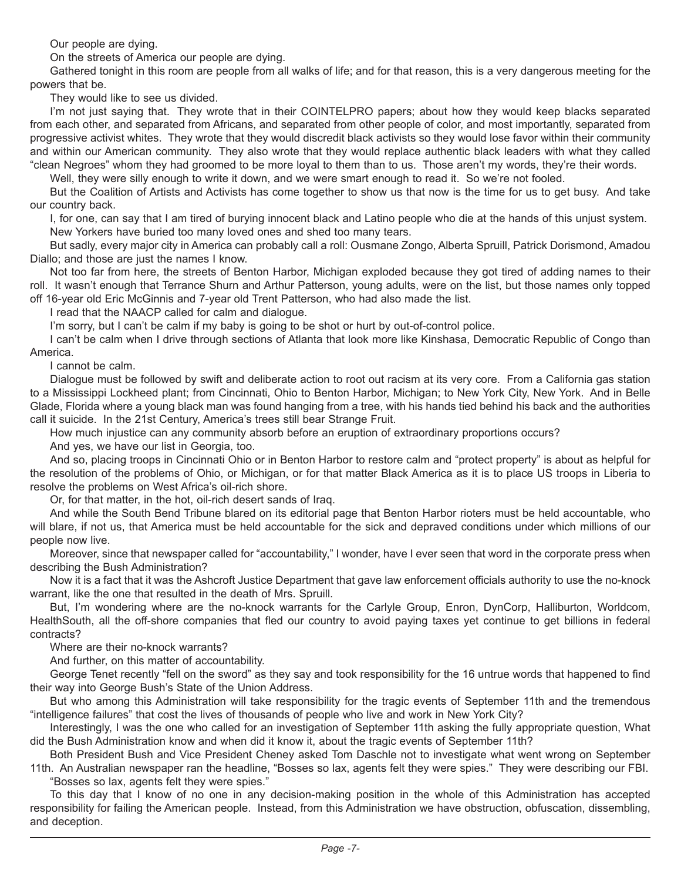Our people are dying.

On the streets of America our people are dying.

Gathered tonight in this room are people from all walks of life; and for that reason, this is a very dangerous meeting for the powers that be.

They would like to see us divided.

I'm not just saying that. They wrote that in their COINTELPRO papers; about how they would keep blacks separated from each other, and separated from Africans, and separated from other people of color, and most importantly, separated from progressive activist whites. They wrote that they would discredit black activists so they would lose favor within their community and within our American community. They also wrote that they would replace authentic black leaders with what they called "clean Negroes" whom they had groomed to be more loyal to them than to us. Those aren't my words, they're their words.

Well, they were silly enough to write it down, and we were smart enough to read it. So we're not fooled.

But the Coalition of Artists and Activists has come together to show us that now is the time for us to get busy. And take our country back.

I, for one, can say that I am tired of burying innocent black and Latino people who die at the hands of this unjust system. New Yorkers have buried too many loved ones and shed too many tears.

But sadly, every major city in America can probably call a roll: Ousmane Zongo, Alberta Spruill, Patrick Dorismond, Amadou Diallo: and those are just the names I know.

Not too far from here, the streets of Benton Harbor, Michigan exploded because they got tired of adding names to their roll. It wasn't enough that Terrance Shurn and Arthur Patterson, young adults, were on the list, but those names only topped off 16-year old Eric McGinnis and 7-year old Trent Patterson, who had also made the list.

I read that the NAACP called for calm and dialogue.

I'm sorry, but I can't be calm if my baby is going to be shot or hurt by out-of-control police.

I can't be calm when I drive through sections of Atlanta that look more like Kinshasa, Democratic Republic of Congo than America.

I cannot be calm.

Dialogue must be followed by swift and deliberate action to root out racism at its very core. From a California gas station to a Mississippi Lockheed plant; from Cincinnati, Ohio to Benton Harbor, Michigan; to New York City, New York. And in Belle Glade, Florida where a young black man was found hanging from a tree, with his hands tied behind his back and the authorities call it suicide. In the 21st Century, America's trees still bear Strange Fruit.

How much injustice can any community absorb before an eruption of extraordinary proportions occurs?

And yes, we have our list in Georgia, too.

And so, placing troops in Cincinnati Ohio or in Benton Harbor to restore calm and "protect property" is about as helpful for the resolution of the problems of Ohio, or Michigan, or for that matter Black America as it is to place US troops in Liberia to resolve the problems on West Africa's oil-rich shore.

Or, for that matter, in the hot, oil-rich desert sands of Iraq.

And while the South Bend Tribune blared on its editorial page that Benton Harbor rioters must be held accountable, who will blare, if not us, that America must be held accountable for the sick and depraved conditions under which millions of our people now live.

Moreover, since that newspaper called for "accountability," I wonder, have I ever seen that word in the corporate press when describing the Bush Administration?

Now it is a fact that it was the Ashcroft Justice Department that gave law enforcement officials authority to use the no-knock warrant, like the one that resulted in the death of Mrs. Spruill.

But, I'm wondering where are the no-knock warrants for the Carlyle Group, Enron, DynCorp, Halliburton, Worldcom, HealthSouth, all the off-shore companies that fled our country to avoid paying taxes yet continue to get billions in federal contracts?

Where are their no-knock warrants?

And further, on this matter of accountability.

George Tenet recently "fell on the sword" as they say and took responsibility for the 16 untrue words that happened to find their way into George Bush's State of the Union Address.

But who among this Administration will take responsibility for the tragic events of September 11th and the tremendous "intelligence failures" that cost the lives of thousands of people who live and work in New York City?

Interestingly, I was the one who called for an investigation of September 11th asking the fully appropriate question, What did the Bush Administration know and when did it know it, about the tragic events of September 11th?

Both President Bush and Vice President Cheney asked Tom Daschle not to investigate what went wrong on September 11th. An Australian newspaper ran the headline, "Bosses so lax, agents felt they were spies." They were describing our FBI.

"Bosses so lax, agents felt they were spies."

To this day that I know of no one in any decision-making position in the whole of this Administration has accepted responsibility for failing the American people. Instead, from this Administration we have obstruction, obfuscation, dissembling, and deception.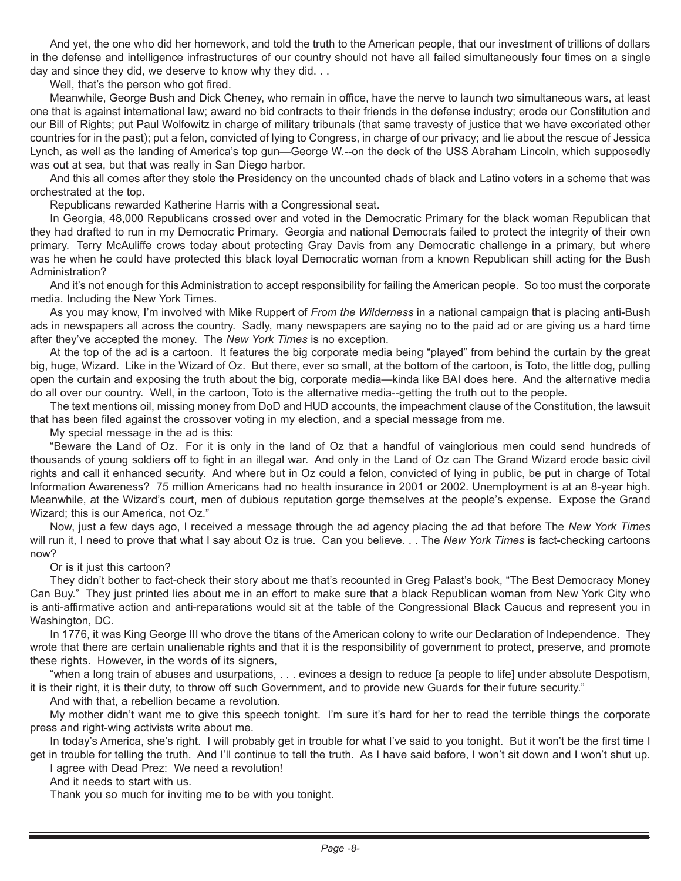And yet, the one who did her homework, and told the truth to the American people, that our investment of trillions of dollars in the defense and intelligence infrastructures of our country should not have all failed simultaneously four times on a single day and since they did, we deserve to know why they did. . .

Well, that's the person who got fired.

Meanwhile, George Bush and Dick Cheney, who remain in office, have the nerve to launch two simultaneous wars, at least one that is against international law; award no bid contracts to their friends in the defense industry; erode our Constitution and our Bill of Rights; put Paul Wolfowitz in charge of military tribunals (that same travesty of justice that we have excoriated other countries for in the past); put a felon, convicted of lying to Congress, in charge of our privacy; and lie about the rescue of Jessica Lynch, as well as the landing of America's top gun—George W.--on the deck of the USS Abraham Lincoln, which supposedly was out at sea, but that was really in San Diego harbor.

And this all comes after they stole the Presidency on the uncounted chads of black and Latino voters in a scheme that was orchestrated at the top.

Republicans rewarded Katherine Harris with a Congressional seat.

In Georgia, 48,000 Republicans crossed over and voted in the Democratic Primary for the black woman Republican that they had drafted to run in my Democratic Primary. Georgia and national Democrats failed to protect the integrity of their own primary. Terry McAuliffe crows today about protecting Gray Davis from any Democratic challenge in a primary, but where was he when he could have protected this black loyal Democratic woman from a known Republican shill acting for the Bush Administration?

And it's not enough for this Administration to accept responsibility for failing the American people. So too must the corporate media. Including the New York Times.

As you may know, I'm involved with Mike Ruppert of *From the Wilderness* in a national campaign that is placing anti-Bush ads in newspapers all across the country. Sadly, many newspapers are saying no to the paid ad or are giving us a hard time after they've accepted the money. The *New York Times* is no exception.

At the top of the ad is a cartoon. It features the big corporate media being "played" from behind the curtain by the great big, huge, Wizard. Like in the Wizard of Oz. But there, ever so small, at the bottom of the cartoon, is Toto, the little dog, pulling open the curtain and exposing the truth about the big, corporate media—kinda like BAI does here. And the alternative media do all over our country. Well, in the cartoon, Toto is the alternative media--getting the truth out to the people.

The text mentions oil, missing money from DoD and HUD accounts, the impeachment clause of the Constitution, the lawsuit that has been filed against the crossover voting in my election, and a special message from me.

My special message in the ad is this:

"Beware the Land of Oz. For it is only in the land of Oz that a handful of vainglorious men could send hundreds of thousands of young soldiers off to fight in an illegal war. And only in the Land of Oz can The Grand Wizard erode basic civil rights and call it enhanced security. And where but in Oz could a felon, convicted of lying in public, be put in charge of Total Information Awareness? 75 million Americans had no health insurance in 2001 or 2002. Unemployment is at an 8-year high. Meanwhile, at the Wizard's court, men of dubious reputation gorge themselves at the people's expense. Expose the Grand Wizard; this is our America, not Oz."

Now, just a few days ago, I received a message through the ad agency placing the ad that before The *New York Times* will run it, I need to prove that what I say about Oz is true. Can you believe. . . The *New York Times* is fact-checking cartoons now?

Or is it just this cartoon?

They didn't bother to fact-check their story about me that's recounted in Greg Palast's book, "The Best Democracy Money Can Buy." They just printed lies about me in an effort to make sure that a black Republican woman from New York City who is anti-affirmative action and anti-reparations would sit at the table of the Congressional Black Caucus and represent you in Washington, DC.

In 1776, it was King George III who drove the titans of the American colony to write our Declaration of Independence. They wrote that there are certain unalienable rights and that it is the responsibility of government to protect, preserve, and promote these rights. However, in the words of its signers,

"when a long train of abuses and usurpations, . . . evinces a design to reduce [a people to life] under absolute Despotism, it is their right, it is their duty, to throw off such Government, and to provide new Guards for their future security."

And with that, a rebellion became a revolution.

My mother didn't want me to give this speech tonight. I'm sure it's hard for her to read the terrible things the corporate press and right-wing activists write about me.

In today's America, she's right. I will probably get in trouble for what I've said to you tonight. But it won't be the first time I get in trouble for telling the truth. And I'll continue to tell the truth. As I have said before, I won't sit down and I won't shut up.

I agree with Dead Prez: We need a revolution!

And it needs to start with us.

Thank you so much for inviting me to be with you tonight.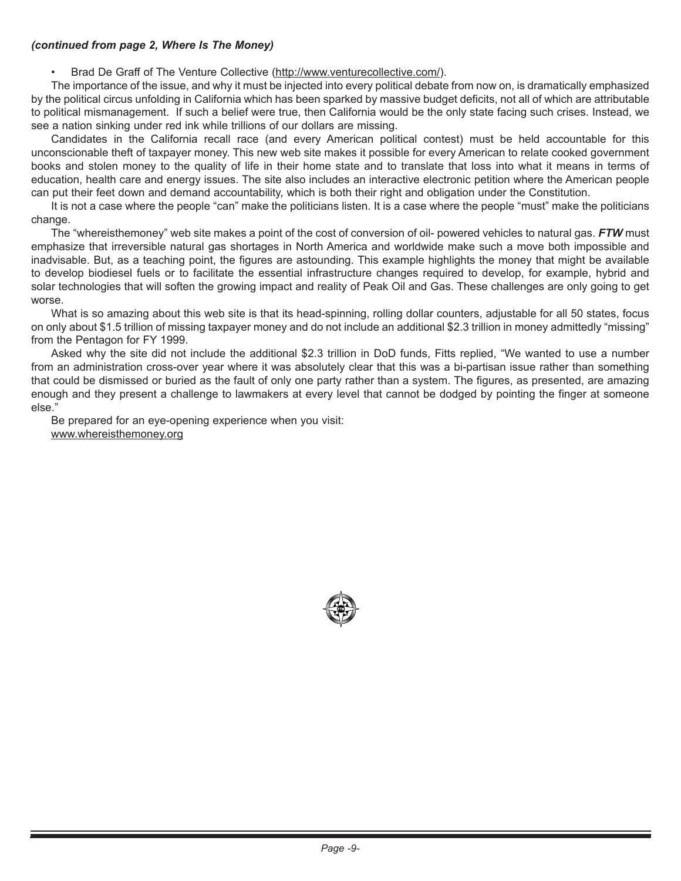#### *(continued from page 2, Where Is The Money)*

• Brad De Graff of The Venture Collective (http://www.venturecollective.com/).

The importance of the issue, and why it must be injected into every political debate from now on, is dramatically emphasized by the political circus unfolding in California which has been sparked by massive budget deficits, not all of which are attributable to political mismanagement. If such a belief were true, then California would be the only state facing such crises. Instead, we see a nation sinking under red ink while trillions of our dollars are missing.

Candidates in the California recall race (and every American political contest) must be held accountable for this unconscionable theft of taxpayer money. This new web site makes it possible for every American to relate cooked government books and stolen money to the quality of life in their home state and to translate that loss into what it means in terms of education, health care and energy issues. The site also includes an interactive electronic petition where the American people can put their feet down and demand accountability, which is both their right and obligation under the Constitution.

It is not a case where the people "can" make the politicians listen. It is a case where the people "must" make the politicians change.

The "whereisthemoney" web site makes a point of the cost of conversion of oil- powered vehicles to natural gas. *FTW* must emphasize that irreversible natural gas shortages in North America and worldwide make such a move both impossible and inadvisable. But, as a teaching point, the figures are astounding. This example highlights the money that might be available to develop biodiesel fuels or to facilitate the essential infrastructure changes required to develop, for example, hybrid and solar technologies that will soften the growing impact and reality of Peak Oil and Gas. These challenges are only going to get worse.

What is so amazing about this web site is that its head-spinning, rolling dollar counters, adjustable for all 50 states, focus on only about \$1.5 trillion of missing taxpayer money and do not include an additional \$2.3 trillion in money admittedly "missing" from the Pentagon for FY 1999.

Asked why the site did not include the additional \$2.3 trillion in DoD funds, Fitts replied, "We wanted to use a number from an administration cross-over year where it was absolutely clear that this was a bi-partisan issue rather than something that could be dismissed or buried as the fault of only one party rather than a system. The figures, as presented, are amazing enough and they present a challenge to lawmakers at every level that cannot be dodged by pointing the finger at someone else."

Be prepared for an eye-opening experience when you visit: www.whereisthemoney.org

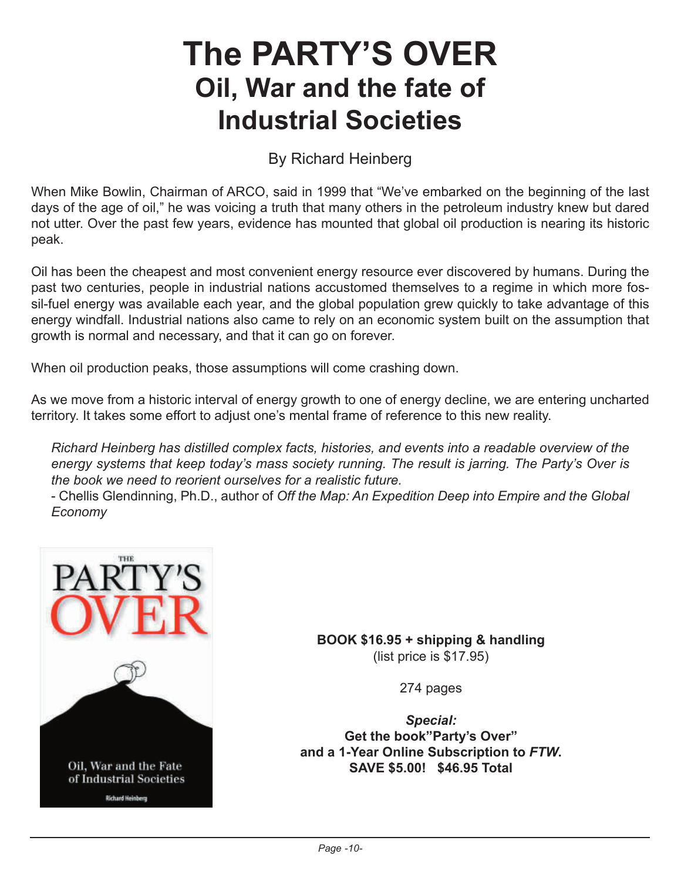## **The PARTY'S OVER Oil, War and the fate of Industrial Societies**

By Richard Heinberg

When Mike Bowlin, Chairman of ARCO, said in 1999 that "We've embarked on the beginning of the last days of the age of oil," he was voicing a truth that many others in the petroleum industry knew but dared not utter. Over the past few years, evidence has mounted that global oil production is nearing its historic peak.

Oil has been the cheapest and most convenient energy resource ever discovered by humans. During the past two centuries, people in industrial nations accustomed themselves to a regime in which more fossil-fuel energy was available each year, and the global population grew quickly to take advantage of this energy windfall. Industrial nations also came to rely on an economic system built on the assumption that growth is normal and necessary, and that it can go on forever.

When oil production peaks, those assumptions will come crashing down.

As we move from a historic interval of energy growth to one of energy decline, we are entering uncharted territory. It takes some effort to adjust one's mental frame of reference to this new reality.

*Richard Heinberg has distilled complex facts, histories, and events into a readable overview of the energy systems that keep today's mass society running. The result is jarring. The Party's Over is the book we need to reorient ourselves for a realistic future.*

- Chellis Glendinning, Ph.D., author of *Off the Map: An Expedition Deep into Empire and the Global Economy*



**BOOK \$16.95 + shipping & handling** (list price is \$17.95)

274 pages

*Special:* **Get the book"Party's Over" and a 1-Year Online Subscription to** *FTW***. SAVE \$5.00! \$46.95 Total**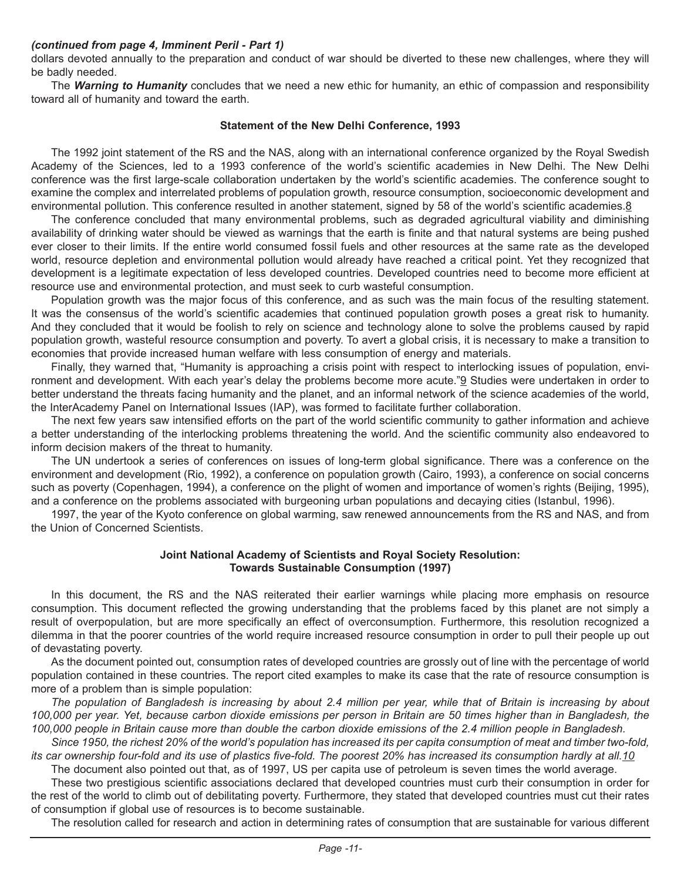#### *(continued from page 4, Imminent Peril - Part 1)*

dollars devoted annually to the preparation and conduct of war should be diverted to these new challenges, where they will be badly needed.

The *Warning to Humanity* concludes that we need a new ethic for humanity, an ethic of compassion and responsibility toward all of humanity and toward the earth.

#### **Statement of the New Delhi Conference, 1993**

The 1992 joint statement of the RS and the NAS, along with an international conference organized by the Royal Swedish Academy of the Sciences, led to a 1993 conference of the world's scientific academies in New Delhi. The New Delhi conference was the first large-scale collaboration undertaken by the world's scientific academies. The conference sought to examine the complex and interrelated problems of population growth, resource consumption, socioeconomic development and environmental pollution. This conference resulted in another statement, signed by 58 of the world's scientific academies. 8

The conference concluded that many environmental problems, such as degraded agricultural viability and diminishing availability of drinking water should be viewed as warnings that the earth is finite and that natural systems are being pushed ever closer to their limits. If the entire world consumed fossil fuels and other resources at the same rate as the developed world, resource depletion and environmental pollution would already have reached a critical point. Yet they recognized that development is a legitimate expectation of less developed countries. Developed countries need to become more efficient at resource use and environmental protection, and must seek to curb wasteful consumption.

Population growth was the major focus of this conference, and as such was the main focus of the resulting statement. It was the consensus of the world's scientific academies that continued population growth poses a great risk to humanity. And they concluded that it would be foolish to rely on science and technology alone to solve the problems caused by rapid population growth, wasteful resource consumption and poverty. To avert a global crisis, it is necessary to make a transition to economies that provide increased human welfare with less consumption of energy and materials.

Finally, they warned that, "Humanity is approaching a crisis point with respect to interlocking issues of population, environment and development. With each year's delay the problems become more acute."9 Studies were undertaken in order to better understand the threats facing humanity and the planet, and an informal network of the science academies of the world, the InterAcademy Panel on International Issues (IAP), was formed to facilitate further collaboration.

The next few years saw intensified efforts on the part of the world scientific community to gather information and achieve a better understanding of the interlocking problems threatening the world. And the scientific community also endeavored to inform decision makers of the threat to humanity.

The UN undertook a series of conferences on issues of long-term global significance. There was a conference on the environment and development (Rio, 1992), a conference on population growth (Cairo, 1993), a conference on social concerns such as poverty (Copenhagen, 1994), a conference on the plight of women and importance of women's rights (Beijing, 1995), and a conference on the problems associated with burgeoning urban populations and decaying cities (Istanbul, 1996).

1997, the year of the Kyoto conference on global warming, saw renewed announcements from the RS and NAS, and from the Union of Concerned Scientists.

#### **Joint National Academy of Scientists and Royal Society Resolution: Towards Sustainable Consumption (1997)**

In this document, the RS and the NAS reiterated their earlier warnings while placing more emphasis on resource consumption. This document reflected the growing understanding that the problems faced by this planet are not simply a result of overpopulation, but are more specifically an effect of overconsumption. Furthermore, this resolution recognized a dilemma in that the poorer countries of the world require increased resource consumption in order to pull their people up out of devastating poverty.

As the document pointed out, consumption rates of developed countries are grossly out of line with the percentage of world population contained in these countries. The report cited examples to make its case that the rate of resource consumption is more of a problem than is simple population:

*The population of Bangladesh is increasing by about 2.4 million per year, while that of Britain is increasing by about 100,000 per year. Yet, because carbon dioxide emissions per person in Britain are 50 times higher than in Bangladesh, the 100,000 people in Britain cause more than double the carbon dioxide emissions of the 2.4 million people in Bangladesh.*

*Since 1950, the richest 20% of the world's population has increased its per capita consumption of meat and timber two-fold, its car ownership four-fold and its use of plastics five-fold. The poorest 20% has increased its consumption hardly at all.10*

The document also pointed out that, as of 1997, US per capita use of petroleum is seven times the world average.

These two prestigious scientific associations declared that developed countries must curb their consumption in order for the rest of the world to climb out of debilitating poverty. Furthermore, they stated that developed countries must cut their rates of consumption if global use of resources is to become sustainable.

The resolution called for research and action in determining rates of consumption that are sustainable for various different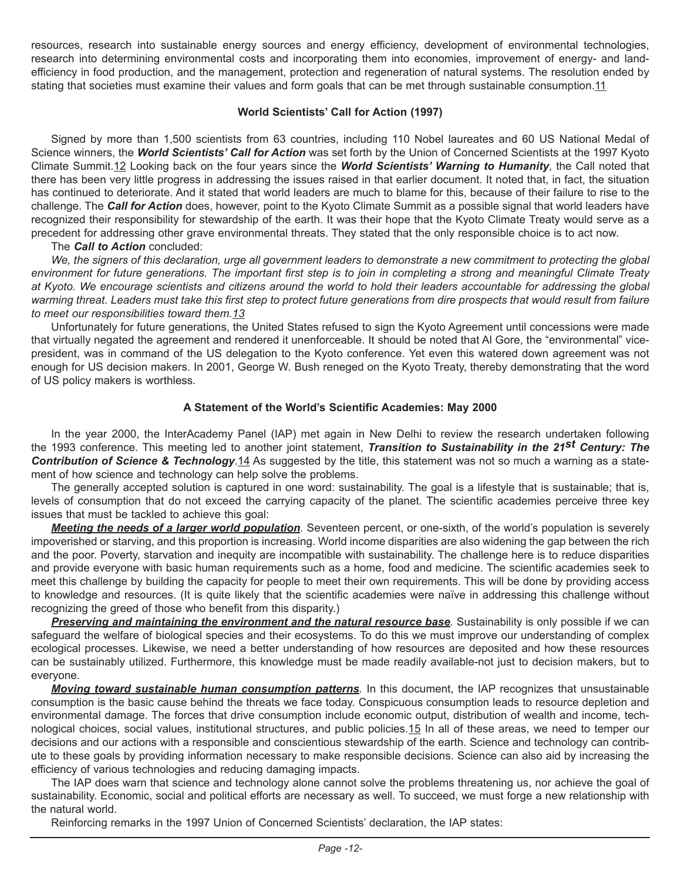resources, research into sustainable energy sources and energy efficiency, development of environmental technologies, research into determining environmental costs and incorporating them into economies, improvement of energy- and landefficiency in food production, and the management, protection and regeneration of natural systems. The resolution ended by stating that societies must examine their values and form goals that can be met through sustainable consumption.11

#### **World Scientists' Call for Action (1997)**

Signed by more than 1,500 scientists from 63 countries, including 110 Nobel laureates and 60 US National Medal of Science winners, the *World Scientists' Call for Action* was set forth by the Union of Concerned Scientists at the 1997 Kyoto Climate Summit.12 Looking back on the four years since the *World Scientists' Warning to Humanity*, the Call noted that there has been very little progress in addressing the issues raised in that earlier document. It noted that, in fact, the situation has continued to deteriorate. And it stated that world leaders are much to blame for this, because of their failure to rise to the challenge. The *Call for Action* does, however, point to the Kyoto Climate Summit as a possible signal that world leaders have recognized their responsibility for stewardship of the earth. It was their hope that the Kyoto Climate Treaty would serve as a precedent for addressing other grave environmental threats. They stated that the only responsible choice is to act now.

The *Call to Action* concluded:

We, the signers of this declaration, urge all government leaders to demonstrate a new commitment to protecting the global *environment for future generations. The important first step is to join in completing a strong and meaningful Climate Treaty at Kyoto. We encourage scientists and citizens around the world to hold their leaders accountable for addressing the global warming threat. Leaders must take this first step to protect future generations from dire prospects that would result from failure to meet our responsibilities toward them.13*

Unfortunately for future generations, the United States refused to sign the Kyoto Agreement until concessions were made that virtually negated the agreement and rendered it unenforceable. It should be noted that Al Gore, the "environmental" vicepresident, was in command of the US delegation to the Kyoto conference. Yet even this watered down agreement was not enough for US decision makers. In 2001, George W. Bush reneged on the Kyoto Treaty, thereby demonstrating that the word of US policy makers is worthless.

#### **A Statement of the World's Scientific Academies: May 2000**

In the year 2000, the InterAcademy Panel (IAP) met again in New Delhi to review the research undertaken following the 1993 conference. This meeting led to another joint statement, *Transition to Sustainability in the 21st Century: The Contribution of Science & Technology*.14 As suggested by the title, this statement was not so much a warning as a statement of how science and technology can help solve the problems.

The generally accepted solution is captured in one word: sustainability. The goal is a lifestyle that is sustainable; that is, levels of consumption that do not exceed the carrying capacity of the planet. The scientific academies perceive three key issues that must be tackled to achieve this goal:

*Meeting the needs of a larger world population.* Seventeen percent, or one-sixth, of the world's population is severely impoverished or starving, and this proportion is increasing. World income disparities are also widening the gap between the rich and the poor. Poverty, starvation and inequity are incompatible with sustainability. The challenge here is to reduce disparities and provide everyone with basic human requirements such as a home, food and medicine. The scientific academies seek to meet this challenge by building the capacity for people to meet their own requirements. This will be done by providing access to knowledge and resources. (It is quite likely that the scientific academies were naïve in addressing this challenge without recognizing the greed of those who benefit from this disparity.)

*Preserving and maintaining the environment and the natural resource base.* Sustainability is only possible if we can safeguard the welfare of biological species and their ecosystems. To do this we must improve our understanding of complex ecological processes. Likewise, we need a better understanding of how resources are deposited and how these resources can be sustainably utilized. Furthermore, this knowledge must be made readily available-not just to decision makers, but to everyone.

*Moving toward sustainable human consumption patterns.* In this document, the IAP recognizes that unsustainable consumption is the basic cause behind the threats we face today. Conspicuous consumption leads to resource depletion and environmental damage. The forces that drive consumption include economic output, distribution of wealth and income, technological choices, social values, institutional structures, and public policies.15 In all of these areas, we need to temper our decisions and our actions with a responsible and conscientious stewardship of the earth. Science and technology can contribute to these goals by providing information necessary to make responsible decisions. Science can also aid by increasing the efficiency of various technologies and reducing damaging impacts.

The IAP does warn that science and technology alone cannot solve the problems threatening us, nor achieve the goal of sustainability. Economic, social and political efforts are necessary as well. To succeed, we must forge a new relationship with the natural world.

Reinforcing remarks in the 1997 Union of Concerned Scientists' declaration, the IAP states: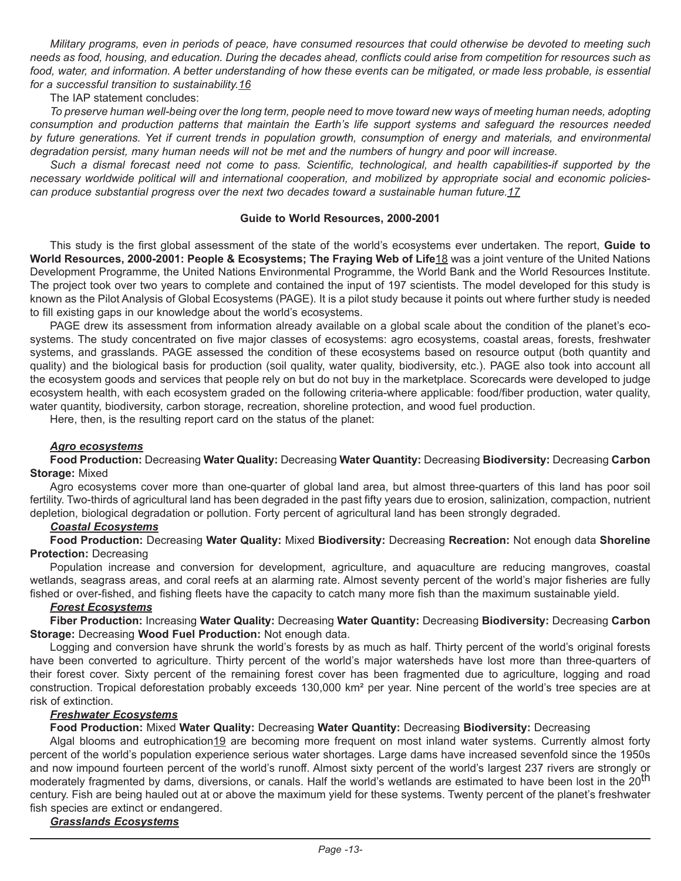*Military programs, even in periods of peace, have consumed resources that could otherwise be devoted to meeting such needs as food, housing, and education. During the decades ahead, conflicts could arise from competition for resources such as*  food, water, and information. A better understanding of how these events can be mitigated, or made less probable, is essential *for a successful transition to sustainability.16*

#### The IAP statement concludes:

*To preserve human well-being over the long term, people need to move toward new ways of meeting human needs, adopting consumption and production patterns that maintain the Earth's life support systems and safeguard the resources needed by future generations. Yet if current trends in population growth, consumption of energy and materials, and environmental degradation persist, many human needs will not be met and the numbers of hungry and poor will increase.*

*Such a dismal forecast need not come to pass. Scientific, technological, and health capabilities-if supported by the necessary worldwide political will and international cooperation, and mobilized by appropriate social and economic policiescan produce substantial progress over the next two decades toward a sustainable human future.17*

#### **Guide to World Resources, 2000-2001**

This study is the first global assessment of the state of the world's ecosystems ever undertaken. The report, **Guide to World Resources, 2000-2001: People & Ecosystems; The Fraying Web of Life**18 was a joint venture of the United Nations Development Programme, the United Nations Environmental Programme, the World Bank and the World Resources Institute. The project took over two years to complete and contained the input of 197 scientists. The model developed for this study is known as the Pilot Analysis of Global Ecosystems (PAGE). It is a pilot study because it points out where further study is needed to fill existing gaps in our knowledge about the world's ecosystems.

PAGE drew its assessment from information already available on a global scale about the condition of the planet's ecosystems. The study concentrated on five major classes of ecosystems: agro ecosystems, coastal areas, forests, freshwater systems, and grasslands. PAGE assessed the condition of these ecosystems based on resource output (both quantity and quality) and the biological basis for production (soil quality, water quality, biodiversity, etc.). PAGE also took into account all the ecosystem goods and services that people rely on but do not buy in the marketplace. Scorecards were developed to judge ecosystem health, with each ecosystem graded on the following criteria-where applicable: food/fiber production, water quality, water quantity, biodiversity, carbon storage, recreation, shoreline protection, and wood fuel production.

Here, then, is the resulting report card on the status of the planet:

#### *Agro ecosystems*

**Food Production:** Decreasing **Water Quality:** Decreasing **Water Quantity:** Decreasing **Biodiversity:** Decreasing **Carbon Storage:** Mixed

Agro ecosystems cover more than one-quarter of global land area, but almost three-quarters of this land has poor soil fertility. Two-thirds of agricultural land has been degraded in the past fifty years due to erosion, salinization, compaction, nutrient depletion, biological degradation or pollution. Forty percent of agricultural land has been strongly degraded.

#### *Coastal Ecosystems*

**Food Production:** Decreasing **Water Quality:** Mixed **Biodiversity:** Decreasing **Recreation:** Not enough data **Shoreline Protection:** Decreasing

Population increase and conversion for development, agriculture, and aquaculture are reducing mangroves, coastal wetlands, seagrass areas, and coral reefs at an alarming rate. Almost seventy percent of the world's major fisheries are fully fished or over-fished, and fishing fleets have the capacity to catch many more fish than the maximum sustainable yield.

#### *Forest Ecosystems*

**Fiber Production:** Increasing **Water Quality:** Decreasing **Water Quantity:** Decreasing **Biodiversity:** Decreasing **Carbon Storage:** Decreasing **Wood Fuel Production:** Not enough data.

Logging and conversion have shrunk the world's forests by as much as half. Thirty percent of the world's original forests have been converted to agriculture. Thirty percent of the world's major watersheds have lost more than three-quarters of their forest cover. Sixty percent of the remaining forest cover has been fragmented due to agriculture, logging and road construction. Tropical deforestation probably exceeds 130,000 km² per year. Nine percent of the world's tree species are at risk of extinction.

#### *Freshwater Ecosystems*

**Food Production:** Mixed **Water Quality:** Decreasing **Water Quantity:** Decreasing **Biodiversity:** Decreasing

Algal blooms and eutrophication19 are becoming more frequent on most inland water systems. Currently almost forty percent of the world's population experience serious water shortages. Large dams have increased sevenfold since the 1950s and now impound fourteen percent of the world's runoff. Almost sixty percent of the world's largest 237 rivers are strongly or moderately fragmented by dams, diversions, or canals. Half the world's wetlands are estimated to have been lost in the 20<sup>th</sup> century. Fish are being hauled out at or above the maximum yield for these systems. Twenty percent of the planet's freshwater fish species are extinct or endangered.

#### *Grasslands Ecosystems*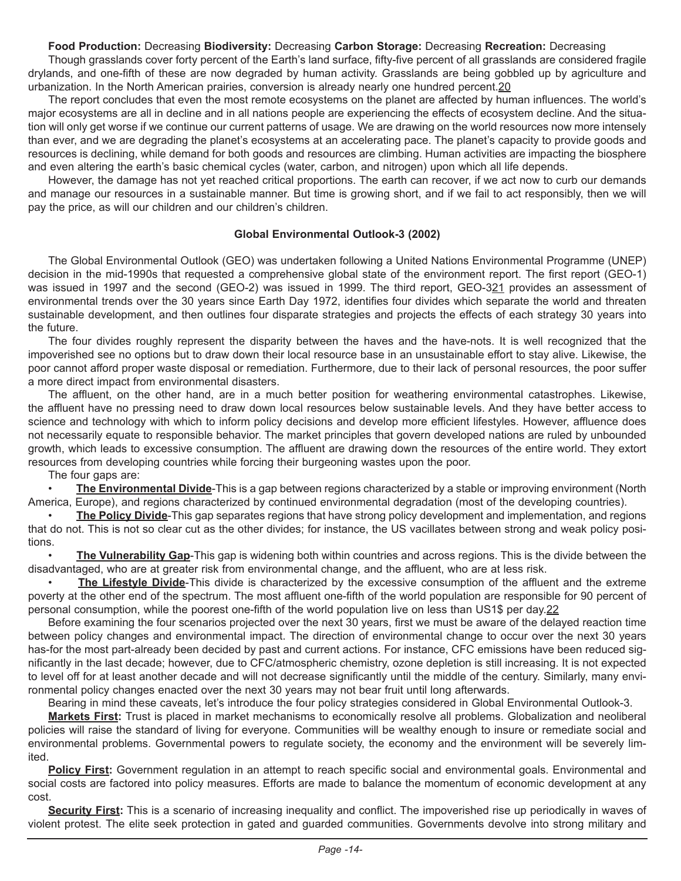#### **Food Production:** Decreasing **Biodiversity:** Decreasing **Carbon Storage:** Decreasing **Recreation:** Decreasing

Though grasslands cover forty percent of the Earth's land surface, fifty-five percent of all grasslands are considered fragile drylands, and one-fifth of these are now degraded by human activity. Grasslands are being gobbled up by agriculture and urbanization. In the North American prairies, conversion is already nearly one hundred percent. 20

The report concludes that even the most remote ecosystems on the planet are affected by human influences. The world's major ecosystems are all in decline and in all nations people are experiencing the effects of ecosystem decline. And the situation will only get worse if we continue our current patterns of usage. We are drawing on the world resources now more intensely than ever, and we are degrading the planet's ecosystems at an accelerating pace. The planet's capacity to provide goods and resources is declining, while demand for both goods and resources are climbing. Human activities are impacting the biosphere and even altering the earth's basic chemical cycles (water, carbon, and nitrogen) upon which all life depends.

However, the damage has not yet reached critical proportions. The earth can recover, if we act now to curb our demands and manage our resources in a sustainable manner. But time is growing short, and if we fail to act responsibly, then we will pay the price, as will our children and our children's children.

#### **Global Environmental Outlook-3 (2002)**

The Global Environmental Outlook (GEO) was undertaken following a United Nations Environmental Programme (UNEP) decision in the mid-1990s that requested a comprehensive global state of the environment report. The first report (GEO-1) was issued in 1997 and the second (GEO-2) was issued in 1999. The third report, GEO-321 provides an assessment of environmental trends over the 30 years since Earth Day 1972, identifies four divides which separate the world and threaten sustainable development, and then outlines four disparate strategies and projects the effects of each strategy 30 years into the future.

The four divides roughly represent the disparity between the haves and the have-nots. It is well recognized that the impoverished see no options but to draw down their local resource base in an unsustainable effort to stay alive. Likewise, the poor cannot afford proper waste disposal or remediation. Furthermore, due to their lack of personal resources, the poor suffer a more direct impact from environmental disasters.

The affluent, on the other hand, are in a much better position for weathering environmental catastrophes. Likewise, the affluent have no pressing need to draw down local resources below sustainable levels. And they have better access to science and technology with which to inform policy decisions and develop more efficient lifestyles. However, affluence does not necessarily equate to responsible behavior. The market principles that govern developed nations are ruled by unbounded growth, which leads to excessive consumption. The affluent are drawing down the resources of the entire world. They extort resources from developing countries while forcing their burgeoning wastes upon the poor.

The four gaps are:

• **The Environmental Divide**-This is a gap between regions characterized by a stable or improving environment (North America, Europe), and regions characterized by continued environmental degradation (most of the developing countries).

**The Policy Divide-This gap separates regions that have strong policy development and implementation, and regions** that do not. This is not so clear cut as the other divides; for instance, the US vacillates between strong and weak policy positions.

**The Vulnerability Gap-**This gap is widening both within countries and across regions. This is the divide between the disadvantaged, who are at greater risk from environmental change, and the affluent, who are at less risk.

• **The Lifestyle Divide**-This divide is characterized by the excessive consumption of the affluent and the extreme poverty at the other end of the spectrum. The most affluent one-fifth of the world population are responsible for 90 percent of personal consumption, while the poorest one-fifth of the world population live on less than US1\$ per day.22

Before examining the four scenarios projected over the next 30 years, first we must be aware of the delayed reaction time between policy changes and environmental impact. The direction of environmental change to occur over the next 30 years has-for the most part-already been decided by past and current actions. For instance, CFC emissions have been reduced significantly in the last decade; however, due to CFC/atmospheric chemistry, ozone depletion is still increasing. It is not expected to level off for at least another decade and will not decrease significantly until the middle of the century. Similarly, many environmental policy changes enacted over the next 30 years may not bear fruit until long afterwards.

Bearing in mind these caveats, let's introduce the four policy strategies considered in Global Environmental Outlook-3.

**Markets First:** Trust is placed in market mechanisms to economically resolve all problems. Globalization and neoliberal policies will raise the standard of living for everyone. Communities will be wealthy enough to insure or remediate social and environmental problems. Governmental powers to regulate society, the economy and the environment will be severely limited.

Policy First: Government regulation in an attempt to reach specific social and environmental goals. Environmental and social costs are factored into policy measures. Efforts are made to balance the momentum of economic development at any cost.

**Security First:** This is a scenario of increasing inequality and conflict. The impoverished rise up periodically in waves of violent protest. The elite seek protection in gated and guarded communities. Governments devolve into strong military and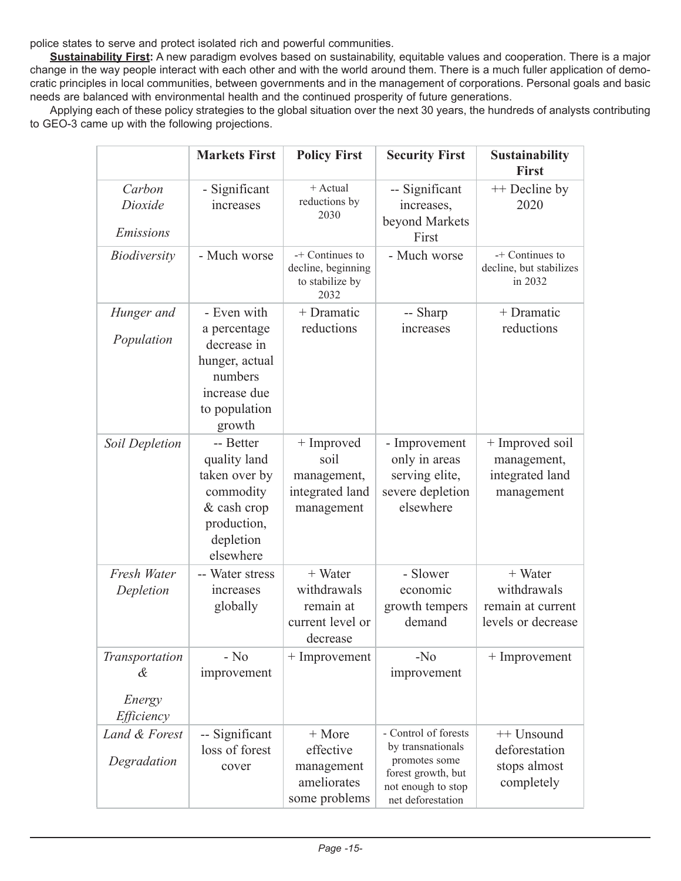police states to serve and protect isolated rich and powerful communities.

**Sustainability First:** A new paradigm evolves based on sustainability, equitable values and cooperation. There is a major change in the way people interact with each other and with the world around them. There is a much fuller application of democratic principles in local communities, between governments and in the management of corporations. Personal goals and basic needs are balanced with environmental health and the continued prosperity of future generations.

Applying each of these policy strategies to the global situation over the next 30 years, the hundreds of analysts contributing to GEO-3 came up with the following projections.

|                                                    | <b>Markets First</b>                                                                                               | <b>Policy First</b>                                                 | <b>Security First</b>                                                                                                       | <b>Sustainability</b><br>First                                    |
|----------------------------------------------------|--------------------------------------------------------------------------------------------------------------------|---------------------------------------------------------------------|-----------------------------------------------------------------------------------------------------------------------------|-------------------------------------------------------------------|
| Carbon<br>Dioxide<br>Emissions                     | - Significant<br>increases                                                                                         | $+$ Actual<br>reductions by<br>2030                                 | -- Significant<br>increases,<br>beyond Markets<br>First                                                                     | ++ Decline by<br>2020                                             |
| <b>Biodiversity</b>                                | - Much worse                                                                                                       | -+ Continues to<br>decline, beginning<br>to stabilize by<br>2032    | - Much worse                                                                                                                | -+ Continues to<br>decline, but stabilizes<br>in 2032             |
| Hunger and<br>Population                           | - Even with<br>a percentage<br>decrease in<br>hunger, actual<br>numbers<br>increase due<br>to population<br>growth | + Dramatic<br>reductions                                            | -- Sharp<br>increases                                                                                                       | + Dramatic<br>reductions                                          |
| Soil Depletion                                     | -- Better<br>quality land<br>taken over by<br>commodity<br>& cash crop<br>production,<br>depletion<br>elsewhere    | + Improved<br>soil<br>management,<br>integrated land<br>management  | - Improvement<br>only in areas<br>serving elite,<br>severe depletion<br>elsewhere                                           | + Improved soil<br>management,<br>integrated land<br>management   |
| Fresh Water<br>Depletion                           | -- Water stress<br>increases<br>globally                                                                           | + Water<br>withdrawals<br>remain at<br>current level or<br>decrease | - Slower<br>economic<br>growth tempers<br>demand                                                                            | + Water<br>withdrawals<br>remain at current<br>levels or decrease |
| Transportation<br>$\alpha$<br>Energy<br>Efficiency | $-$ No<br>improvement                                                                                              | $+$ Improvement                                                     | $-N0$<br>improvement                                                                                                        | + Improvement                                                     |
| Land & Forest<br>Degradation                       | -- Significant<br>loss of forest<br>cover                                                                          | + More<br>effective<br>management<br>ameliorates<br>some problems   | - Control of forests<br>by transnationals<br>promotes some<br>forest growth, but<br>not enough to stop<br>net deforestation | ++ Unsound<br>deforestation<br>stops almost<br>completely         |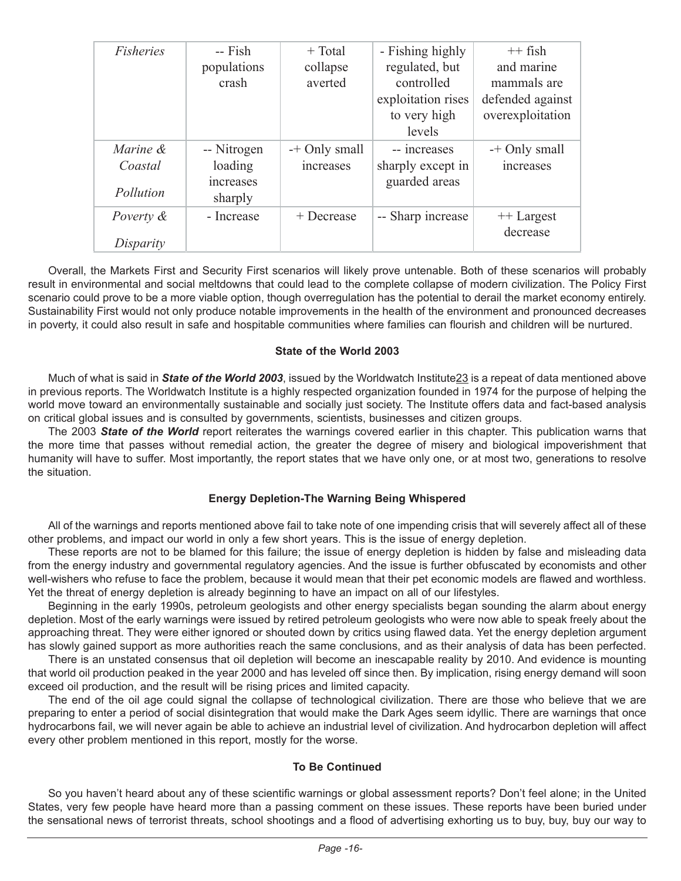| Fisheries                        | $-Fish$<br>populations<br>crash                | $+ Total$<br>collapse<br>averted | - Fishing highly<br>regulated, but<br>controlled<br>exploitation rises<br>to very high<br>levels | $++$ fish<br>and marine<br>mammals are<br>defended against<br>overexploitation |
|----------------------------------|------------------------------------------------|----------------------------------|--------------------------------------------------------------------------------------------------|--------------------------------------------------------------------------------|
| Marine &<br>Coastal<br>Pollution | -- Nitrogen<br>loading<br>increases<br>sharply | -+ Only small<br>increases       | -- increases<br>sharply except in<br>guarded areas                                               | -+ Only small<br>increases                                                     |
| Poverty &<br>Disparity           | - Increase                                     | + Decrease                       | -- Sharp increase                                                                                | ++ Largest<br>decrease                                                         |

Overall, the Markets First and Security First scenarios will likely prove untenable. Both of these scenarios will probably result in environmental and social meltdowns that could lead to the complete collapse of modern civilization. The Policy First scenario could prove to be a more viable option, though overregulation has the potential to derail the market economy entirely. Sustainability First would not only produce notable improvements in the health of the environment and pronounced decreases in poverty, it could also result in safe and hospitable communities where families can flourish and children will be nurtured.

#### **State of the World 2003**

Much of what is said in *State of the World 2003*, issued by the Worldwatch Institute23 is a repeat of data mentioned above in previous reports. The Worldwatch Institute is a highly respected organization founded in 1974 for the purpose of helping the world move toward an environmentally sustainable and socially just society. The Institute offers data and fact-based analysis on critical global issues and is consulted by governments, scientists, businesses and citizen groups.

The 2003 *State of the World* report reiterates the warnings covered earlier in this chapter. This publication warns that the more time that passes without remedial action, the greater the degree of misery and biological impoverishment that humanity will have to suffer. Most importantly, the report states that we have only one, or at most two, generations to resolve the situation.

#### **Energy Depletion-The Warning Being Whispered**

All of the warnings and reports mentioned above fail to take note of one impending crisis that will severely affect all of these other problems, and impact our world in only a few short years. This is the issue of energy depletion.

These reports are not to be blamed for this failure; the issue of energy depletion is hidden by false and misleading data from the energy industry and governmental regulatory agencies. And the issue is further obfuscated by economists and other well-wishers who refuse to face the problem, because it would mean that their pet economic models are flawed and worthless. Yet the threat of energy depletion is already beginning to have an impact on all of our lifestyles.

Beginning in the early 1990s, petroleum geologists and other energy specialists began sounding the alarm about energy depletion. Most of the early warnings were issued by retired petroleum geologists who were now able to speak freely about the approaching threat. They were either ignored or shouted down by critics using flawed data. Yet the energy depletion argument has slowly gained support as more authorities reach the same conclusions, and as their analysis of data has been perfected.

There is an unstated consensus that oil depletion will become an inescapable reality by 2010. And evidence is mounting that world oil production peaked in the year 2000 and has leveled off since then. By implication, rising energy demand will soon exceed oil production, and the result will be rising prices and limited capacity.

The end of the oil age could signal the collapse of technological civilization. There are those who believe that we are preparing to enter a period of social disintegration that would make the Dark Ages seem idyllic. There are warnings that once hydrocarbons fail, we will never again be able to achieve an industrial level of civilization. And hydrocarbon depletion will affect every other problem mentioned in this report, mostly for the worse.

#### **To Be Continued**

So you haven't heard about any of these scientific warnings or global assessment reports? Don't feel alone; in the United States, very few people have heard more than a passing comment on these issues. These reports have been buried under the sensational news of terrorist threats, school shootings and a flood of advertising exhorting us to buy, buy, buy our way to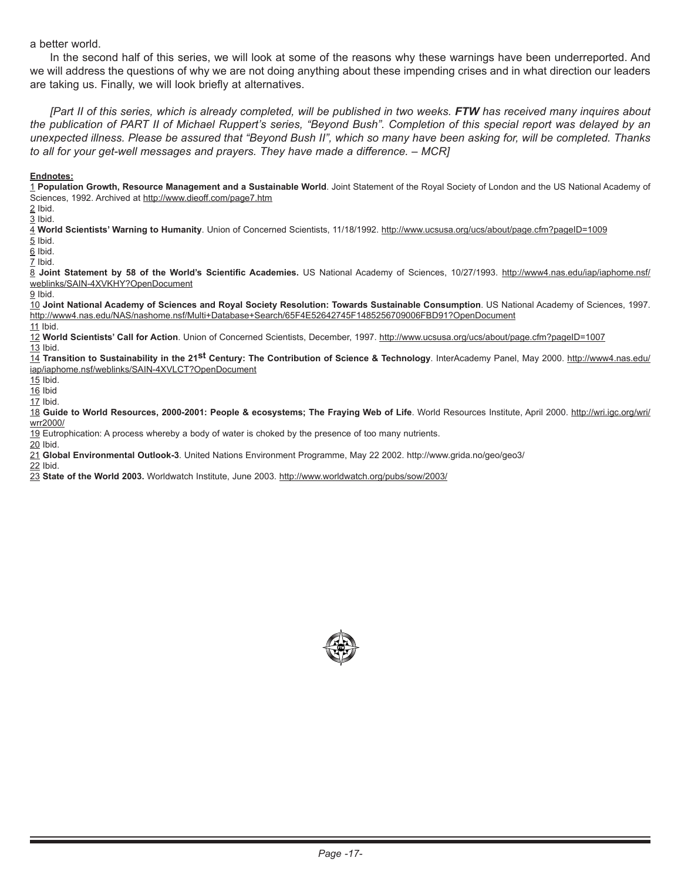#### a better world.

In the second half of this series, we will look at some of the reasons why these warnings have been underreported. And we will address the questions of why we are not doing anything about these impending crises and in what direction our leaders are taking us. Finally, we will look briefly at alternatives.

*[Part II of this series, which is already completed, will be published in two weeks. FTW has received many inquires about the publication of PART II of Michael Ruppert's series, "Beyond Bush". Completion of this special report was delayed by an unexpected illness. Please be assured that "Beyond Bush II", which so many have been asking for, will be completed. Thanks to all for your get-well messages and prayers. They have made a difference. – MCR]*

#### **Endnotes:**

1 **Population Growth, Resource Management and a Sustainable World**. Joint Statement of the Royal Society of London and the US National Academy of Sciences, 1992. Archived at http://www.dieoff.com/page7.htm

 $2$  Ibid. 3 Ibid.

4 **World Scientists' Warning to Humanity**. Union of Concerned Scientists, 11/18/1992. http://www.ucsusa.org/ucs/about/page.cfm?pageID=1009 5 Ibid.

6 Ibid.

7 Ibid.

8 **Joint Statement by 58 of the World's Scientific Academies.** US National Academy of Sciences, 10/27/1993. http://www4.nas.edu/iap/iaphome.nsf/ weblinks/SAIN-4XVKHY?OpenDocument  $9$  Ibid.

10 **Joint National Academy of Sciences and Royal Society Resolution: Towards Sustainable Consumption**. US National Academy of Sciences, 1997. http://www4.nas.edu/NAS/nashome.nsf/Multi+Database+Search/65F4E52642745F1485256709006FBD91?OpenDocument

11 Ibid.

12 **World Scientists' Call for Action**. Union of Concerned Scientists, December, 1997. http://www.ucsusa.org/ucs/about/page.cfm?pageID=1007

13 Ibid.

14 **Transition to Sustainability in the 21st Century: The Contribution of Science & Technology**. InterAcademy Panel, May 2000. http://www4.nas.edu/ iap/iaphome.nsf/weblinks/SAIN-4XVLCT?OpenDocument

 $15$  Ibid.

16 Ibid

17 Ibid.

18 **Guide to World Resources, 2000-2001: People & ecosystems; The Fraying Web of Life**. World Resources Institute, April 2000. http://wri.igc.org/wri/ wrr2000/

19 Eutrophication: A process whereby a body of water is choked by the presence of too many nutrients.

20 Ibid.

21 **Global Environmental Outlook-3**. United Nations Environment Programme, May 22 2002. http://www.grida.no/geo/geo3/

22 Ibid.

23 **State of the World 2003.** Worldwatch Institute, June 2003. http://www.worldwatch.org/pubs/sow/2003/

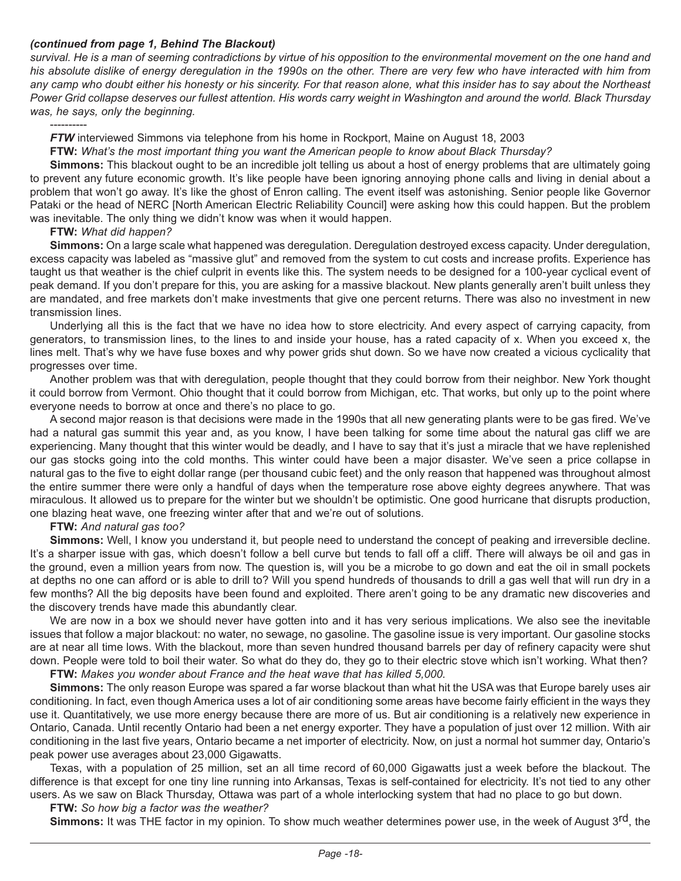#### *(continued from page 1, Behind The Blackout)*

*survival. He is a man of seeming contradictions by virtue of his opposition to the environmental movement on the one hand and his absolute dislike of energy deregulation in the 1990s on the other. There are very few who have interacted with him from any camp who doubt either his honesty or his sincerity. For that reason alone, what this insider has to say about the Northeast Power Grid collapse deserves our fullest attention. His words carry weight in Washington and around the world. Black Thursday was, he says, only the beginning.*

*FTW* interviewed Simmons via telephone from his home in Rockport, Maine on August 18, 2003

**FTW:** *What's the most important thing you want the American people to know about Black Thursday?*

**Simmons:** This blackout ought to be an incredible jolt telling us about a host of energy problems that are ultimately going to prevent any future economic growth. It's like people have been ignoring annoying phone calls and living in denial about a problem that won't go away. It's like the ghost of Enron calling. The event itself was astonishing. Senior people like Governor Pataki or the head of NERC [North American Electric Reliability Council] were asking how this could happen. But the problem was inevitable. The only thing we didn't know was when it would happen.

**FTW:** *What did happen?*

----------

**Simmons:** On a large scale what happened was deregulation. Deregulation destroyed excess capacity. Under deregulation, excess capacity was labeled as "massive glut" and removed from the system to cut costs and increase profits. Experience has taught us that weather is the chief culprit in events like this. The system needs to be designed for a 100-year cyclical event of peak demand. If you don't prepare for this, you are asking for a massive blackout. New plants generally aren't built unless they are mandated, and free markets don't make investments that give one percent returns. There was also no investment in new transmission lines.

Underlying all this is the fact that we have no idea how to store electricity. And every aspect of carrying capacity, from generators, to transmission lines, to the lines to and inside your house, has a rated capacity of x. When you exceed x, the lines melt. That's why we have fuse boxes and why power grids shut down. So we have now created a vicious cyclicality that progresses over time.

Another problem was that with deregulation, people thought that they could borrow from their neighbor. New York thought it could borrow from Vermont. Ohio thought that it could borrow from Michigan, etc. That works, but only up to the point where everyone needs to borrow at once and there's no place to go.

A second major reason is that decisions were made in the 1990s that all new generating plants were to be gas fired. We've had a natural gas summit this year and, as you know, I have been talking for some time about the natural gas cliff we are experiencing. Many thought that this winter would be deadly, and I have to say that it's just a miracle that we have replenished our gas stocks going into the cold months. This winter could have been a major disaster. We've seen a price collapse in natural gas to the five to eight dollar range (per thousand cubic feet) and the only reason that happened was throughout almost the entire summer there were only a handful of days when the temperature rose above eighty degrees anywhere. That was miraculous. It allowed us to prepare for the winter but we shouldn't be optimistic. One good hurricane that disrupts production, one blazing heat wave, one freezing winter after that and we're out of solutions.

#### **FTW:** *And natural gas too?*

**Simmons:** Well, I know you understand it, but people need to understand the concept of peaking and irreversible decline. It's a sharper issue with gas, which doesn't follow a bell curve but tends to fall off a cliff. There will always be oil and gas in the ground, even a million years from now. The question is, will you be a microbe to go down and eat the oil in small pockets at depths no one can afford or is able to drill to? Will you spend hundreds of thousands to drill a gas well that will run dry in a few months? All the big deposits have been found and exploited. There aren't going to be any dramatic new discoveries and the discovery trends have made this abundantly clear.

We are now in a box we should never have gotten into and it has very serious implications. We also see the inevitable issues that follow a major blackout: no water, no sewage, no gasoline. The gasoline issue is very important. Our gasoline stocks are at near all time lows. With the blackout, more than seven hundred thousand barrels per day of refinery capacity were shut down. People were told to boil their water. So what do they do, they go to their electric stove which isn't working. What then?

**FTW:** *Makes you wonder about France and the heat wave that has killed 5,000.*

**Simmons:** The only reason Europe was spared a far worse blackout than what hit the USA was that Europe barely uses air conditioning. In fact, even though America uses a lot of air conditioning some areas have become fairly efficient in the ways they use it. Quantitatively, we use more energy because there are more of us. But air conditioning is a relatively new experience in Ontario, Canada. Until recently Ontario had been a net energy exporter. They have a population of just over 12 million. With air conditioning in the last five years, Ontario became a net importer of electricity. Now, on just a normal hot summer day, Ontario's peak power use averages about 23,000 Gigawatts.

Texas, with a population of 25 million, set an all time record of 60,000 Gigawatts just a week before the blackout. The difference is that except for one tiny line running into Arkansas, Texas is self-contained for electricity. It's not tied to any other users. As we saw on Black Thursday, Ottawa was part of a whole interlocking system that had no place to go but down.

**FTW:** *So how big a factor was the weather?*

**Simmons:** It was THE factor in my opinion. To show much weather determines power use, in the week of August 3rd, the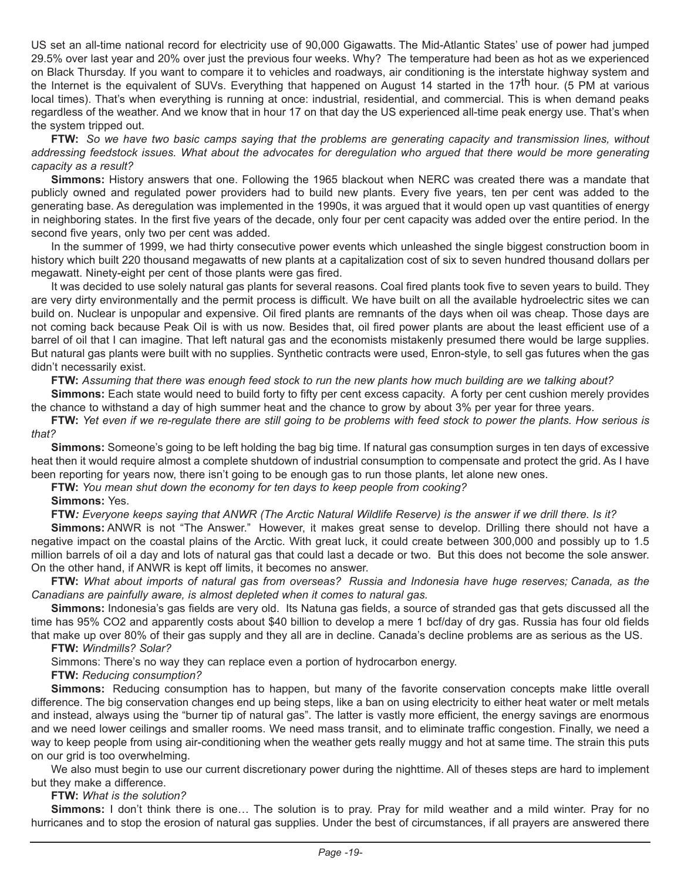US set an all-time national record for electricity use of 90,000 Gigawatts. The Mid-Atlantic States' use of power had jumped 29.5% over last year and 20% over just the previous four weeks. Why? The temperature had been as hot as we experienced on Black Thursday. If you want to compare it to vehicles and roadways, air conditioning is the interstate highway system and the Internet is the equivalent of SUVs. Everything that happened on August 14 started in the 17<sup>th</sup> hour. (5 PM at various local times). That's when everything is running at once: industrial, residential, and commercial. This is when demand peaks regardless of the weather. And we know that in hour 17 on that day the US experienced all-time peak energy use. That's when the system tripped out.

**FTW:** *So we have two basic camps saying that the problems are generating capacity and transmission lines, without addressing feedstock issues. What about the advocates for deregulation who argued that there would be more generating capacity as a result?*

**Simmons:** History answers that one. Following the 1965 blackout when NERC was created there was a mandate that publicly owned and regulated power providers had to build new plants. Every five years, ten per cent was added to the generating base. As deregulation was implemented in the 1990s, it was argued that it would open up vast quantities of energy in neighboring states. In the first five years of the decade, only four per cent capacity was added over the entire period. In the second five years, only two per cent was added.

In the summer of 1999, we had thirty consecutive power events which unleashed the single biggest construction boom in history which built 220 thousand megawatts of new plants at a capitalization cost of six to seven hundred thousand dollars per megawatt. Ninety-eight per cent of those plants were gas fired.

It was decided to use solely natural gas plants for several reasons. Coal fired plants took five to seven years to build. They are very dirty environmentally and the permit process is difficult. We have built on all the available hydroelectric sites we can build on. Nuclear is unpopular and expensive. Oil fired plants are remnants of the days when oil was cheap. Those days are not coming back because Peak Oil is with us now. Besides that, oil fired power plants are about the least efficient use of a barrel of oil that I can imagine. That left natural gas and the economists mistakenly presumed there would be large supplies. But natural gas plants were built with no supplies. Synthetic contracts were used, Enron-style, to sell gas futures when the gas didn't necessarily exist.

**FTW:** *Assuming that there was enough feed stock to run the new plants how much building are we talking about?*

**Simmons:** Each state would need to build forty to fifty per cent excess capacity. A forty per cent cushion merely provides the chance to withstand a day of high summer heat and the chance to grow by about 3% per year for three years.

**FTW:** *Yet even if we re-regulate there are still going to be problems with feed stock to power the plants. How serious is that?*

**Simmons:** Someone's going to be left holding the bag big time. If natural gas consumption surges in ten days of excessive heat then it would require almost a complete shutdown of industrial consumption to compensate and protect the grid. As I have been reporting for years now, there isn't going to be enough gas to run those plants, let alone new ones.

**FTW:** *You mean shut down the economy for ten days to keep people from cooking?*

**Simmons:** Yes.

**FTW***: Everyone keeps saying that ANWR (The Arctic Natural Wildlife Reserve) is the answer if we drill there. Is it?*

**Simmons:** ANWR is not "The Answer." However, it makes great sense to develop. Drilling there should not have a negative impact on the coastal plains of the Arctic. With great luck, it could create between 300,000 and possibly up to 1.5 million barrels of oil a day and lots of natural gas that could last a decade or two. But this does not become the sole answer. On the other hand, if ANWR is kept off limits, it becomes no answer.

**FTW:** *What about imports of natural gas from overseas? Russia and Indonesia have huge reserves; Canada, as the Canadians are painfully aware, is almost depleted when it comes to natural gas.*

**Simmons:** Indonesia's gas fields are very old. Its Natuna gas fields, a source of stranded gas that gets discussed all the time has 95% CO2 and apparently costs about \$40 billion to develop a mere 1 bcf/day of dry gas. Russia has four old fields that make up over 80% of their gas supply and they all are in decline. Canada's decline problems are as serious as the US.

**FTW:** *Windmills? Solar?*

Simmons: There's no way they can replace even a portion of hydrocarbon energy.

**FTW:** *Reducing consumption?*

**Simmons:** Reducing consumption has to happen, but many of the favorite conservation concepts make little overall difference. The big conservation changes end up being steps, like a ban on using electricity to either heat water or melt metals and instead, always using the "burner tip of natural gas". The latter is vastly more efficient, the energy savings are enormous and we need lower ceilings and smaller rooms. We need mass transit, and to eliminate traffic congestion. Finally, we need a way to keep people from using air-conditioning when the weather gets really muggy and hot at same time. The strain this puts on our grid is too overwhelming.

We also must begin to use our current discretionary power during the nighttime. All of theses steps are hard to implement but they make a difference.

**FTW:** *What is the solution?*

**Simmons:** I don't think there is one… The solution is to pray. Pray for mild weather and a mild winter. Pray for no hurricanes and to stop the erosion of natural gas supplies. Under the best of circumstances, if all prayers are answered there